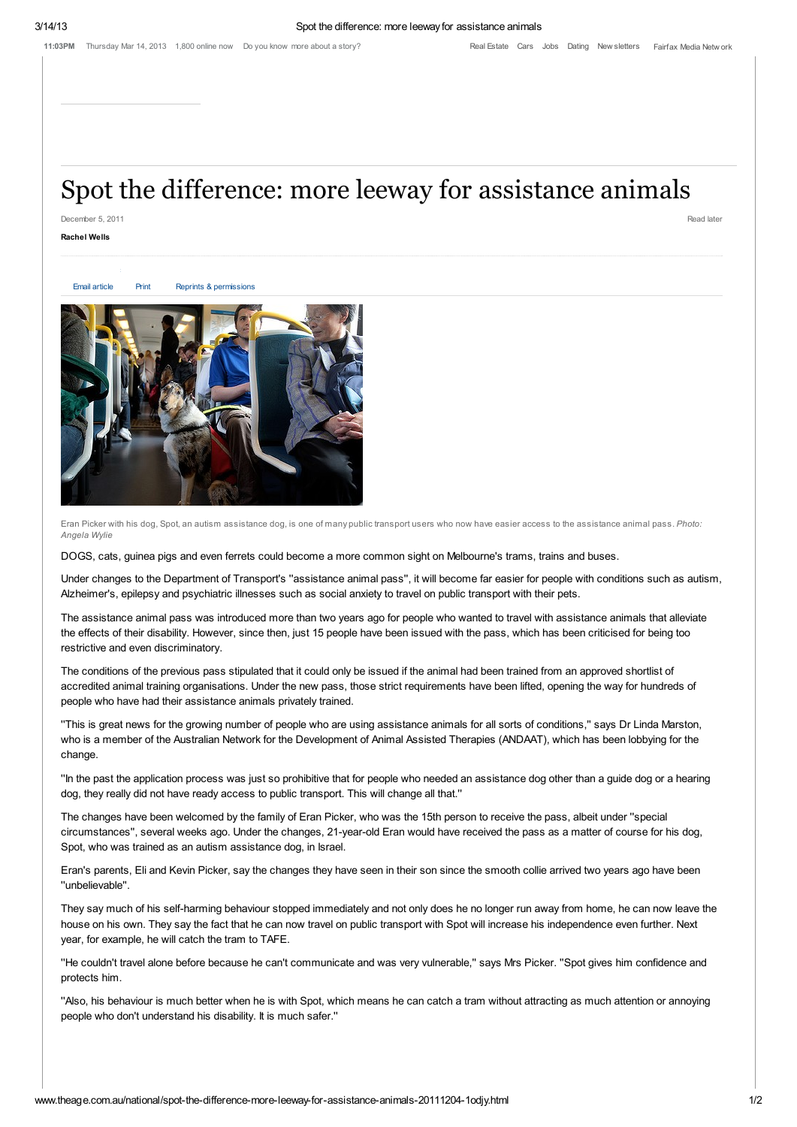## Spot the difference: more leeway for assistance animals

December 5, 2011 Read later

## Rachel Wells

Email [article](http://www.theage.com.au/action/emailToFriend?id=2816926) [Print](http://www.theage.com.au/action/printArticle?id=2816926) Reprints & [permissions](http://rightsportal.copyright.com.au/pages/republicationpage.aspx?publisher=fxj&publication=TAG&author=Rachel%20Wells%20&title=Spot%20the%20difference:%20more%20leeway%20for%20assistance%20animals&publicationdate=05/12/2011&url=http://www.theage.com.au/national/spot-the-difference-more-leeway-for-assistance-animals-20111204-1odjy.html)

submit to reddit



Eran Picker with his dog, Spot, an autism assistance dog, is one of many public transport users who now have easier access to the assistance animal pass. Photo: Angela Wylie

DOGS, cats, guinea pigs and even ferrets could become a more common sight on Melbourne's trams, trains and buses.

Under changes to the Department of Transport's ''assistance animal pass'', it will become far easier for people with conditions such as autism, Alzheimer's, epilepsy and psychiatric illnesses such as social anxiety to travel on public transport with their pets.

The assistance animal pass was introduced more than two years ago for people who wanted to travel with assistance animals that alleviate the effects of their disability. However, since then, just 15 people have been issued with the pass, which has been criticised for being too restrictive and even discriminatory.

The conditions of the previous pass stipulated that it could only be issued if the animal had been trained from an approved shortlist of accredited animal training organisations. Under the new pass, those strict requirements have been lifted, opening the way for hundreds of people who have had their assistance animals privately trained.

''This is great news for the growing number of people who are using assistance animals for all sorts of conditions,'' says Dr Linda Marston, who is a member of the Australian Network for the Development of Animal Assisted Therapies (ANDAAT), which has been lobbying for the change.

''In the past the application process was just so prohibitive that for people who needed an assistance dog other than a guide dog or a hearing dog, they really did not have ready access to public transport. This will change all that.''

The changes have been welcomed by the family of Eran Picker, who was the 15th person to receive the pass, albeit under ''special circumstances'', several weeks ago. Under the changes, 21-year-old Eran would have received the pass as a matter of course for his dog, Spot, who was trained as an autism assistance dog, in Israel.

Eran's parents, Eli and Kevin Picker, say the changes they have seen in their son since the smooth collie arrived two years ago have been ''unbelievable''.

They say much of his self-harming behaviour stopped immediately and not only does he no longer run away from home, he can now leave the house on his own. They say the fact that he can now travel on public transport with Spot will increase his independence even further. Next year, for example, he will catch the tram to TAFE.

''He couldn't travel alone before because he can't communicate and was very vulnerable,'' says Mrs Picker. ''Spot gives him confidence and protects him.

''Also, his behaviour is much better when he is with Spot, which means he can catch a tram without attracting as much attention or annoying people who don't understand his disability. It is much safer.''